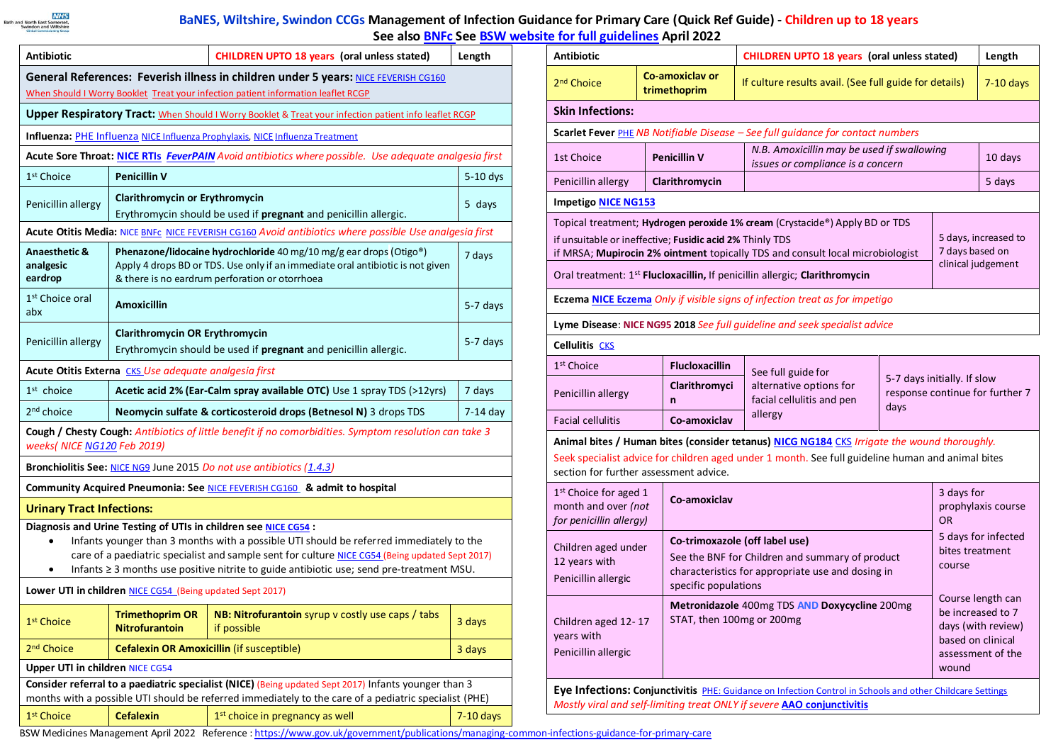

## **BaNES, Wiltshire, Swindon CCGs Management of Infection Guidance for Primary Care (Quick Ref Guide) - Children up to 18 years See als[o BNFc](https://www.medicinescomplete.com/mc/bnfc/current) See BSW [website for full guidelines](http://www.bswformulary.nhs.uk/) April 2022**

| <b>Antibiotic</b>                                                                                                                                                                                                                                                                                                                                                                  |                                                                                                                                                                                                                  | <b>CHILDREN UPTO 18 years (oral unless stated)</b>                            | Length      |  |  |  |  |  |
|------------------------------------------------------------------------------------------------------------------------------------------------------------------------------------------------------------------------------------------------------------------------------------------------------------------------------------------------------------------------------------|------------------------------------------------------------------------------------------------------------------------------------------------------------------------------------------------------------------|-------------------------------------------------------------------------------|-------------|--|--|--|--|--|
| General References: Feverish illness in children under 5 years: NICE FEVERISH CG160                                                                                                                                                                                                                                                                                                |                                                                                                                                                                                                                  |                                                                               |             |  |  |  |  |  |
| When Should I Worry Booklet Treat your infection patient information leaflet RCGP                                                                                                                                                                                                                                                                                                  |                                                                                                                                                                                                                  |                                                                               |             |  |  |  |  |  |
| <b>Upper Respiratory Tract:</b> When Should I Worry Booklet & Treat your infection patient info leaflet RCGP                                                                                                                                                                                                                                                                       |                                                                                                                                                                                                                  |                                                                               |             |  |  |  |  |  |
|                                                                                                                                                                                                                                                                                                                                                                                    |                                                                                                                                                                                                                  | Influenza: PHE Influenza NICE Influenza Prophylaxis, NICE Influenza Treatment |             |  |  |  |  |  |
| Acute Sore Throat: NICE RTIs FeverPAIN Avoid antibiotics where possible. Use adequate analgesia first                                                                                                                                                                                                                                                                              |                                                                                                                                                                                                                  |                                                                               |             |  |  |  |  |  |
| 1 <sup>st</sup> Choice                                                                                                                                                                                                                                                                                                                                                             | <b>Penicillin V</b><br>$5-10$ dys                                                                                                                                                                                |                                                                               |             |  |  |  |  |  |
| Penicillin allergy                                                                                                                                                                                                                                                                                                                                                                 | <b>Clarithromycin or Erythromycin</b><br>Erythromycin should be used if pregnant and penicillin allergic.                                                                                                        |                                                                               |             |  |  |  |  |  |
| Acute Otitis Media: NICE BNFC NICE FEVERISH CG160 Avoid antibiotics where possible Use analgesia first                                                                                                                                                                                                                                                                             |                                                                                                                                                                                                                  |                                                                               |             |  |  |  |  |  |
| Anaesthetic &<br>analgesic<br>eardrop                                                                                                                                                                                                                                                                                                                                              | Phenazone/lidocaine hydrochloride 40 mg/10 mg/g ear drops (Otigo®)<br>7 days<br>Apply 4 drops BD or TDS. Use only if an immediate oral antibiotic is not given<br>& there is no eardrum perforation or otorrhoea |                                                                               |             |  |  |  |  |  |
| 1 <sup>st</sup> Choice oral<br>abx                                                                                                                                                                                                                                                                                                                                                 | <b>Amoxicillin</b><br>5-7 days                                                                                                                                                                                   |                                                                               |             |  |  |  |  |  |
| Penicillin allergy                                                                                                                                                                                                                                                                                                                                                                 | <b>Clarithromycin OR Erythromycin</b><br>Erythromycin should be used if pregnant and penicillin allergic.                                                                                                        |                                                                               |             |  |  |  |  |  |
| Acute Otitis Externa CKS Use adequate analgesia first                                                                                                                                                                                                                                                                                                                              |                                                                                                                                                                                                                  |                                                                               |             |  |  |  |  |  |
| $1st$ choice                                                                                                                                                                                                                                                                                                                                                                       | Acetic acid 2% (Ear-Calm spray available OTC) Use 1 spray TDS (>12yrs)                                                                                                                                           |                                                                               |             |  |  |  |  |  |
| 2 <sup>nd</sup> choice                                                                                                                                                                                                                                                                                                                                                             | Neomycin sulfate & corticosteroid drops (Betnesol N) 3 drops TDS                                                                                                                                                 |                                                                               |             |  |  |  |  |  |
| Cough / Chesty Cough: Antibiotics of little benefit if no comorbidities. Symptom resolution can take 3<br>weeks( NICE NG120 Feb 2019)                                                                                                                                                                                                                                              |                                                                                                                                                                                                                  |                                                                               |             |  |  |  |  |  |
| Bronchiolitis See: NICE NG9 June 2015 Do not use antibiotics (1.4.3)                                                                                                                                                                                                                                                                                                               |                                                                                                                                                                                                                  |                                                                               |             |  |  |  |  |  |
| Community Acquired Pneumonia: See NICE FEVERISH CG160 & admit to hospital                                                                                                                                                                                                                                                                                                          |                                                                                                                                                                                                                  |                                                                               |             |  |  |  |  |  |
| <b>Urinary Tract Infections:</b>                                                                                                                                                                                                                                                                                                                                                   |                                                                                                                                                                                                                  |                                                                               |             |  |  |  |  |  |
| Diagnosis and Urine Testing of UTIs in children see NICE CG54:<br>Infants younger than 3 months with a possible UTI should be referred immediately to the<br>$\bullet$<br>care of a paediatric specialist and sample sent for culture NICE CG54 (Being updated Sept 2017)<br>Infants ≥ 3 months use positive nitrite to guide antibiotic use; send pre-treatment MSU.<br>$\bullet$ |                                                                                                                                                                                                                  |                                                                               |             |  |  |  |  |  |
| Lower UTI in children NICE CG54 (Being updated Sept 2017)                                                                                                                                                                                                                                                                                                                          |                                                                                                                                                                                                                  |                                                                               |             |  |  |  |  |  |
| 1st Choice                                                                                                                                                                                                                                                                                                                                                                         | <b>Trimethoprim OR</b><br><b>Nitrofurantoin</b>                                                                                                                                                                  | NB: Nitrofurantoin syrup v costly use caps / tabs<br>if possible              | 3 days      |  |  |  |  |  |
| 2 <sup>nd</sup> Choice                                                                                                                                                                                                                                                                                                                                                             |                                                                                                                                                                                                                  | <b>Cefalexin OR Amoxicillin (if susceptible)</b><br>3 days                    |             |  |  |  |  |  |
| <b>Upper UTI in children NICE CG54</b>                                                                                                                                                                                                                                                                                                                                             |                                                                                                                                                                                                                  |                                                                               |             |  |  |  |  |  |
| Consider referral to a paediatric specialist (NICE) (Being updated Sept 2017) Infants younger than 3<br>months with a possible UTI should be referred immediately to the care of a pediatric specialist (PHE)                                                                                                                                                                      |                                                                                                                                                                                                                  |                                                                               |             |  |  |  |  |  |
| 1 <sup>st</sup> Choice                                                                                                                                                                                                                                                                                                                                                             | <b>Cefalexin</b>                                                                                                                                                                                                 | 1 <sup>st</sup> choice in pregnancy as well                                   | $7-10$ days |  |  |  |  |  |

| <b>Antibiotic</b>                                                                                                                                                                                                                                                                                                                                                                          |  |                                                                                                                                                                                                                    | <b>CHILDREN UPTO 18 years (oral unless stated)</b> | Length                                                                                     |             |                                                                |  |  |  |
|--------------------------------------------------------------------------------------------------------------------------------------------------------------------------------------------------------------------------------------------------------------------------------------------------------------------------------------------------------------------------------------------|--|--------------------------------------------------------------------------------------------------------------------------------------------------------------------------------------------------------------------|----------------------------------------------------|--------------------------------------------------------------------------------------------|-------------|----------------------------------------------------------------|--|--|--|
| 2 <sup>nd</sup> Choice                                                                                                                                                                                                                                                                                                                                                                     |  | Co-amoxiclav or<br>trimethoprim                                                                                                                                                                                    |                                                    | If culture results avail. (See full guide for details)                                     | $7-10$ days |                                                                |  |  |  |
| <b>Skin Infections:</b>                                                                                                                                                                                                                                                                                                                                                                    |  |                                                                                                                                                                                                                    |                                                    |                                                                                            |             |                                                                |  |  |  |
|                                                                                                                                                                                                                                                                                                                                                                                            |  |                                                                                                                                                                                                                    |                                                    | Scarlet Fever <b>PHE NB Notifiable Disease</b> - See full guidance for contact numbers     |             |                                                                |  |  |  |
| 1st Choice                                                                                                                                                                                                                                                                                                                                                                                 |  | <b>Penicillin V</b>                                                                                                                                                                                                |                                                    | N.B. Amoxicillin may be used if swallowing<br>10 days<br>issues or compliance is a concern |             |                                                                |  |  |  |
| Penicillin allergy                                                                                                                                                                                                                                                                                                                                                                         |  | Clarithromycin                                                                                                                                                                                                     |                                                    |                                                                                            | 5 days      |                                                                |  |  |  |
| <b>Impetigo NICE NG153</b>                                                                                                                                                                                                                                                                                                                                                                 |  |                                                                                                                                                                                                                    |                                                    |                                                                                            |             |                                                                |  |  |  |
| Topical treatment; <b>Hydrogen peroxide 1% cream</b> (Crystacide®) Apply BD or TDS<br>5 days, increased to<br>if unsuitable or ineffective; Fusidic acid 2% Thinly TDS<br>7 days based on<br>if MRSA; Mupirocin 2% ointment topically TDS and consult local microbiologist<br>clinical judgement<br>Oral treatment: 1 <sup>st</sup> Flucloxacillin, If penicillin allergic; Clarithromycin |  |                                                                                                                                                                                                                    |                                                    |                                                                                            |             |                                                                |  |  |  |
| <b>Eczema NICE Eczema</b> Only if visible signs of infection treat as for impetigo                                                                                                                                                                                                                                                                                                         |  |                                                                                                                                                                                                                    |                                                    |                                                                                            |             |                                                                |  |  |  |
| Lyme Disease: NICE NG95 2018 See full quideline and seek specialist advice                                                                                                                                                                                                                                                                                                                 |  |                                                                                                                                                                                                                    |                                                    |                                                                                            |             |                                                                |  |  |  |
| <b>Cellulitis CKS</b>                                                                                                                                                                                                                                                                                                                                                                      |  |                                                                                                                                                                                                                    |                                                    |                                                                                            |             |                                                                |  |  |  |
| 1 <sup>st</sup> Choice                                                                                                                                                                                                                                                                                                                                                                     |  | <b>Flucloxacillin</b>                                                                                                                                                                                              | See full guide for                                 |                                                                                            |             |                                                                |  |  |  |
| Penicillin allergy                                                                                                                                                                                                                                                                                                                                                                         |  | Clarithromyci<br>n                                                                                                                                                                                                 |                                                    | alternative options for<br>facial cellulitis and pen                                       | days        | 5-7 days initially. If slow<br>response continue for further 7 |  |  |  |
| <b>Facial cellulitis</b>                                                                                                                                                                                                                                                                                                                                                                   |  | Co-amoxiclav                                                                                                                                                                                                       |                                                    | allergy                                                                                    |             |                                                                |  |  |  |
| Animal bites / Human bites (consider tetanus) NICG NG184 CKS Irrigate the wound thoroughly.<br>Seek specialist advice for children aged under 1 month. See full guideline human and animal bites<br>section for further assessment advice.                                                                                                                                                 |  |                                                                                                                                                                                                                    |                                                    |                                                                                            |             |                                                                |  |  |  |
| 1 <sup>st</sup> Choice for aged 1<br>month and over (not<br>for penicillin allergy)                                                                                                                                                                                                                                                                                                        |  | Co-amoxiclav<br><b>OR</b>                                                                                                                                                                                          |                                                    |                                                                                            | 3 days for  | prophylaxis course                                             |  |  |  |
| Children aged under<br>12 years with<br>Penicillin allergic                                                                                                                                                                                                                                                                                                                                |  | 5 days for infected<br>Co-trimoxazole (off label use)<br>bites treatment<br>See the BNF for Children and summary of product<br>course<br>characteristics for appropriate use and dosing in<br>specific populations |                                                    |                                                                                            |             |                                                                |  |  |  |
| Children aged 12-17<br>years with<br>Penicillin allergic                                                                                                                                                                                                                                                                                                                                   |  | Course length can<br>Metronidazole 400mg TDS AND Doxycycline 200mg<br>be increased to 7<br>STAT, then 100mg or 200mg<br>days (with review)<br>based on clinical<br>assessment of the<br>wound                      |                                                    |                                                                                            |             |                                                                |  |  |  |
| <b>Eye Infections: Conjunctivitis</b> PHE: Guidance on Infection Control in Schools and other Childcare Settings                                                                                                                                                                                                                                                                           |  |                                                                                                                                                                                                                    |                                                    |                                                                                            |             |                                                                |  |  |  |

*Mostly viral and self-limiting treat ONLY if severe* **[AAO conjunctivitis](https://www.aao.org/preferred-practice-pattern/conjunctivitis-ppp--2013)**

BSW Medicines Management April 2022 Reference [: https://www.gov.uk/government/publications/managing-common-infections-guidance-for-primary-care](https://www.gov.uk/government/publications/managing-common-infections-guidance-for-primary-care)